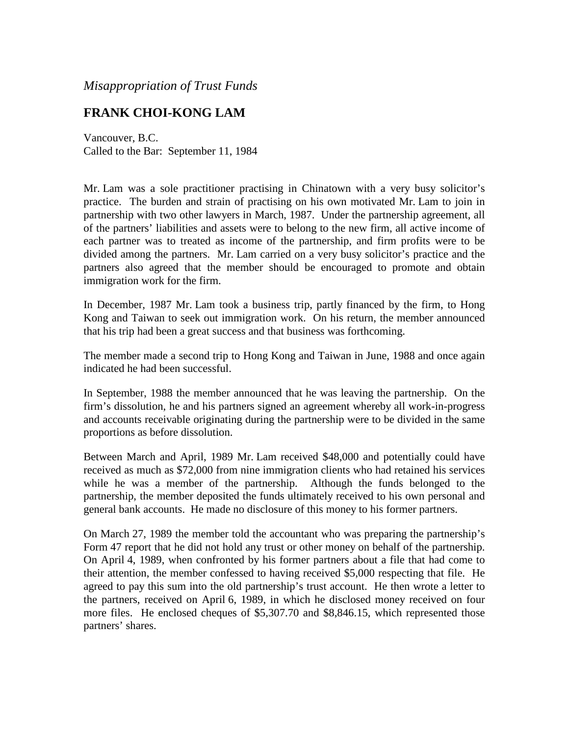*Misappropriation of Trust Funds*

## **FRANK CHOI-KONG LAM**

Vancouver, B.C. Called to the Bar: September 11, 1984

Mr. Lam was a sole practitioner practising in Chinatown with a very busy solicitor's practice. The burden and strain of practising on his own motivated Mr. Lam to join in partnership with two other lawyers in March, 1987. Under the partnership agreement, all of the partners' liabilities and assets were to belong to the new firm, all active income of each partner was to treated as income of the partnership, and firm profits were to be divided among the partners. Mr. Lam carried on a very busy solicitor's practice and the partners also agreed that the member should be encouraged to promote and obtain immigration work for the firm.

In December, 1987 Mr. Lam took a business trip, partly financed by the firm, to Hong Kong and Taiwan to seek out immigration work. On his return, the member announced that his trip had been a great success and that business was forthcoming.

The member made a second trip to Hong Kong and Taiwan in June, 1988 and once again indicated he had been successful.

In September, 1988 the member announced that he was leaving the partnership. On the firm's dissolution, he and his partners signed an agreement whereby all work-in-progress and accounts receivable originating during the partnership were to be divided in the same proportions as before dissolution.

Between March and April, 1989 Mr. Lam received \$48,000 and potentially could have received as much as \$72,000 from nine immigration clients who had retained his services while he was a member of the partnership. Although the funds belonged to the partnership, the member deposited the funds ultimately received to his own personal and general bank accounts. He made no disclosure of this money to his former partners.

On March 27, 1989 the member told the accountant who was preparing the partnership's Form 47 report that he did not hold any trust or other money on behalf of the partnership. On April 4, 1989, when confronted by his former partners about a file that had come to their attention, the member confessed to having received \$5,000 respecting that file. He agreed to pay this sum into the old partnership's trust account. He then wrote a letter to the partners, received on April 6, 1989, in which he disclosed money received on four more files. He enclosed cheques of \$5,307.70 and \$8,846.15, which represented those partners' shares.